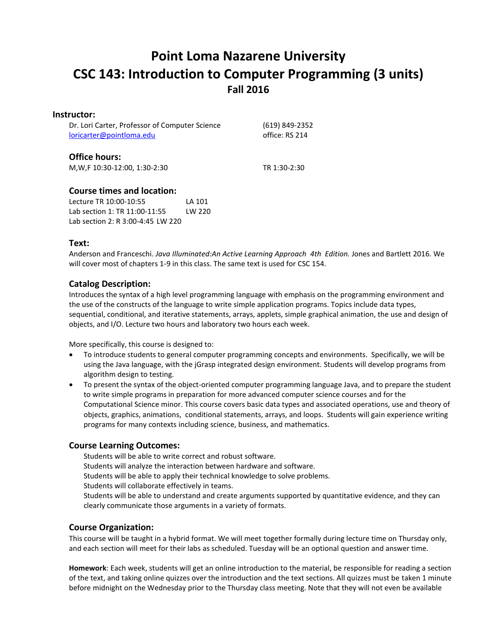# **Point Loma Nazarene University CSC 143: Introduction to Computer Programming (3 units) Fall 2016**

#### **Instructor:**

| Dr. Lori Carter, Professor of Computer Science<br>loricarter@pointloma.edu |        | (619) 849-2352<br>office: RS 214 |
|----------------------------------------------------------------------------|--------|----------------------------------|
| <b>Office hours:</b>                                                       |        |                                  |
| M, W, F 10:30-12:00, 1:30-2:30                                             |        | TR 1:30-2:30                     |
| <b>Course times and location:</b>                                          |        |                                  |
| Lecture TR 10:00-10:55                                                     | LA 101 |                                  |

Lab section 1: TR 11:00-11:55 LW 220 Lab section 2: R 3:00-4:45 LW 220

## **Text:**

Anderson and Franceschi. *Java Illuminated:An Active Learning Approach 4th Edition.* Jones and Bartlett 2016. We will cover most of chapters 1-9 in this class. The same text is used for CSC 154.

## **Catalog Description:**

Introduces the syntax of a high level programming language with emphasis on the programming environment and the use of the constructs of the language to write simple application programs. Topics include data types, sequential, conditional, and iterative statements, arrays, applets, simple graphical animation, the use and design of objects, and I/O. Lecture two hours and laboratory two hours each week.

More specifically, this course is designed to:

- To introduce students to general computer programming concepts and environments. Specifically, we will be using the Java language, with the jGrasp integrated design environment. Students will develop programs from algorithm design to testing.
- To present the syntax of the object-oriented computer programming language Java, and to prepare the student to write simple programs in preparation for more advanced computer science courses and for the Computational Science minor. This course covers basic data types and associated operations, use and theory of objects, graphics, animations, conditional statements, arrays, and loops. Students will gain experience writing programs for many contexts including science, business, and mathematics.

## **Course Learning Outcomes:**

Students will be able to write correct and robust software. Students will analyze the interaction between hardware and software. Students will be able to apply their technical knowledge to solve problems. Students will collaborate effectively in teams. Students will be able to understand and create arguments supported by quantitative evidence, and they can clearly communicate those arguments in a variety of formats.

# **Course Organization:**

This course will be taught in a hybrid format. We will meet together formally during lecture time on Thursday only, and each section will meet for their labs as scheduled. Tuesday will be an optional question and answer time.

**Homework**: Each week, students will get an online introduction to the material, be responsible for reading a section of the text, and taking online quizzes over the introduction and the text sections. All quizzes must be taken 1 minute before midnight on the Wednesday prior to the Thursday class meeting. Note that they will not even be available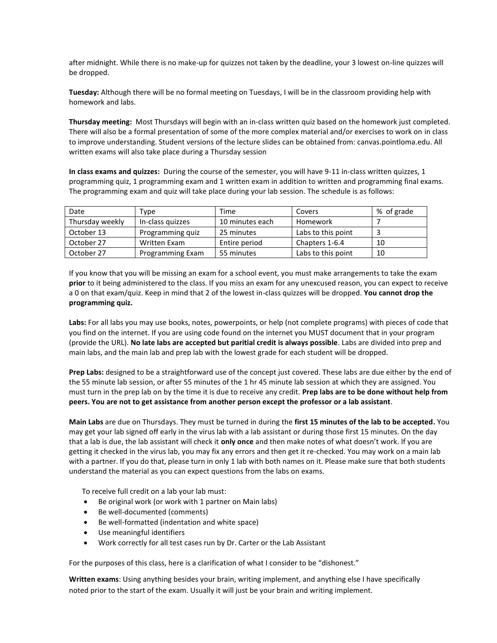after midnight. While there is no make-up for quizzes not taken by the deadline, your 3 lowest on-line quizzes will be dropped.

**Tuesday:** Although there will be no formal meeting on Tuesdays, I will be in the classroom providing help with homework and labs.

**Thursday meeting:** Most Thursdays will begin with an in-class written quiz based on the homework just completed. There will also be a formal presentation of some of the more complex material and/or exercises to work on in class to improve understanding. Student versions of the lecture slides can be obtained from: canvas.pointloma.edu. All written exams will also take place during a Thursday session

**In class exams and quizzes:** During the course of the semester, you will have 9-11 in-class written quizzes, 1 programming quiz, 1 programming exam and 1 written exam in addition to written and programming final exams. The programming exam and quiz will take place during your lab session. The schedule is as follows:

| Date            | Type             | Time            | Covers             | % of grade |
|-----------------|------------------|-----------------|--------------------|------------|
| Thursday weekly | In-class quizzes | 10 minutes each | Homework           |            |
| October 13      | Programming quiz | 25 minutes      | Labs to this point |            |
| October 27      | Written Exam     | Entire period   | Chapters 1-6.4     | 10         |
| October 27      | Programming Exam | 55 minutes      | Labs to this point | 10         |

If you know that you will be missing an exam for a school event, you must make arrangements to take the exam **prior** to it being administered to the class. If you miss an exam for any unexcused reason, you can expect to receive a 0 on that exam/quiz. Keep in mind that 2 of the lowest in-class quizzes will be dropped. **You cannot drop the programming quiz.**

**Labs:** For all labs you may use books, notes, powerpoints, or help (not complete programs) with pieces of code that you find on the internet. If you are using code found on the internet you MUST document that in your program (provide the URL). **No late labs are accepted but paritial credit is always possible**. Labs are divided into prep and main labs, and the main lab and prep lab with the lowest grade for each student will be dropped.

**Prep Labs:** designed to be a straightforward use of the concept just covered. These labs are due either by the end of the 55 minute lab session, or after 55 minutes of the 1 hr 45 minute lab session at which they are assigned. You must turn in the prep lab on by the time it is due to receive any credit. **Prep labs are to be done without help from peers. You are not to get assistance from another person except the professor or a lab assistant**.

**Main Labs** are due on Thursdays. They must be turned in during the **first 15 minutes of the lab to be accepted.** You may get your lab signed off early in the virus lab with a lab assistant or during those first 15 minutes. On the day that a lab is due, the lab assistant will check it **only once** and then make notes of what doesn't work. If you are getting it checked in the virus lab, you may fix any errors and then get it re-checked. You may work on a main lab with a partner. If you do that, please turn in only 1 lab with both names on it. Please make sure that both students understand the material as you can expect questions from the labs on exams.

To receive full credit on a lab your lab must:

- Be original work (or work with 1 partner on Main labs)
- Be well-documented (comments)
- Be well-formatted (indentation and white space)
- Use meaningful identifiers
- Work correctly for all test cases run by Dr. Carter or the Lab Assistant

For the purposes of this class, here is a clarification of what I consider to be "dishonest."

**Written exams**: Using anything besides your brain, writing implement, and anything else I have specifically noted prior to the start of the exam. Usually it will just be your brain and writing implement.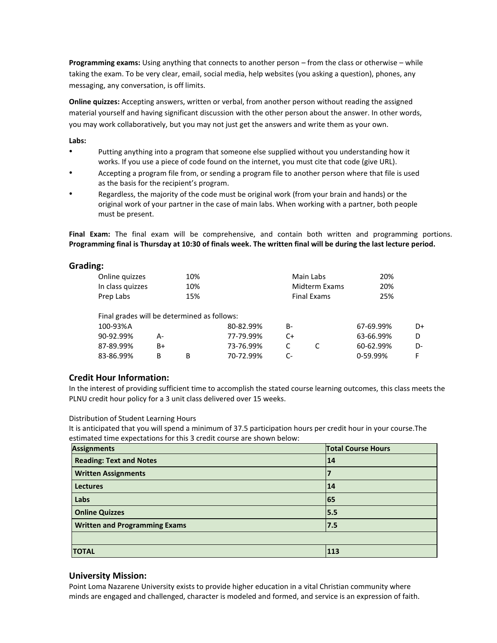**Programming exams:** Using anything that connects to another person – from the class or otherwise – while taking the exam. To be very clear, email, social media, help websites (you asking a question), phones, any messaging, any conversation, is off limits.

**Online quizzes:** Accepting answers, written or verbal, from another person without reading the assigned material yourself and having significant discussion with the other person about the answer. In other words, you may work collaboratively, but you may not just get the answers and write them as your own.

**Labs:** 

- Putting anything into a program that someone else supplied without you understanding how it works. If you use a piece of code found on the internet, you must cite that code (give URL).
- Accepting a program file from, or sending a program file to another person where that file is used as the basis for the recipient's program.
- Regardless, the majority of the code must be original work (from your brain and hands) or the original work of your partner in the case of main labs. When working with a partner, both people must be present.

**Final Exam:** The final exam will be comprehensive, and contain both written and programming portions. **Programming final is Thursday at 10:30 of finals week. The written final will be during the last lecture period.**

## **Grading:**

| Online quizzes                              |    | 10% |           |    | Main Labs          | 20%       |    |
|---------------------------------------------|----|-----|-----------|----|--------------------|-----------|----|
| In class quizzes                            |    | 10% |           |    | Midterm Exams      | 20%       |    |
| Prep Labs                                   |    | 15% |           |    | <b>Final Exams</b> | 25%       |    |
| Final grades will be determined as follows: |    |     |           |    |                    |           |    |
| 100-93%A                                    |    |     | 80-82.99% | B- |                    | 67-69.99% | D+ |
| 90-92.99%                                   | А- |     | 77-79.99% | C+ |                    | 63-66.99% | D. |
| 87-89.99%                                   | B+ |     | 73-76.99% | C  |                    | 60-62.99% | D- |
| 83-86 99%                                   | R  | R   | 70-72 99% | C- |                    | 0-59 99%  | F  |

## **Credit Hour Information:**

In the interest of providing sufficient time to accomplish the stated course learning outcomes, this class meets the PLNU credit hour policy for a 3 unit class delivered over 15 weeks.

0-59.99% F

Distribution of Student Learning Hours

83-86.99% B B

It is anticipated that you will spend a minimum of 37.5 participation hours per credit hour in your course.The estimated time expectations for this 3 credit course are shown below:

70-72.99%

| <b>Assignments</b>                   | <b>Total Course Hours</b> |
|--------------------------------------|---------------------------|
| <b>Reading: Text and Notes</b>       | 14                        |
| <b>Written Assignments</b>           |                           |
| <b>Lectures</b>                      | 14                        |
| Labs                                 | 65                        |
| <b>Online Quizzes</b>                | 5.5                       |
| <b>Written and Programming Exams</b> | 17.5                      |
|                                      |                           |
| <b>TOTAL</b>                         | 113                       |

## **University Mission:**

Point Loma Nazarene University exists to provide higher education in a vital Christian community where minds are engaged and challenged, character is modeled and formed, and service is an expression of faith.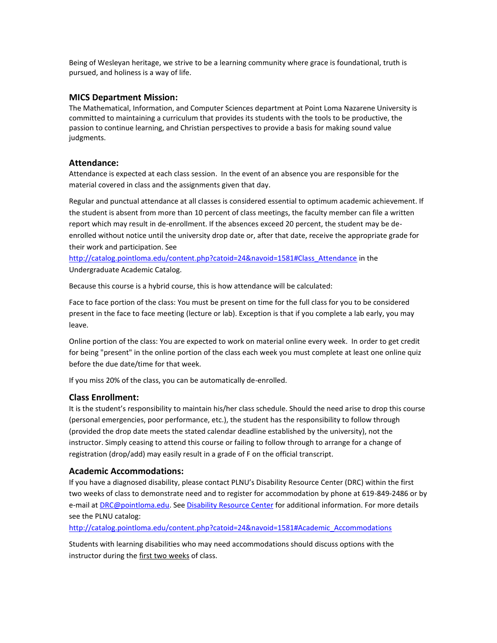Being of Wesleyan heritage, we strive to be a learning community where grace is foundational, truth is pursued, and holiness is a way of life.

#### **MICS Department Mission:**

The Mathematical, Information, and Computer Sciences department at Point Loma Nazarene University is committed to maintaining a curriculum that provides its students with the tools to be productive, the passion to continue learning, and Christian perspectives to provide a basis for making sound value judgments.

#### **Attendance:**

Attendance is expected at each class session. In the event of an absence you are responsible for the material covered in class and the assignments given that day.

Regular and punctual attendance at all classes is considered essential to optimum academic achievement. If the student is absent from more than 10 percent of class meetings, the faculty member can file a written report which may result in de-enrollment. If the absences exceed 20 percent, the student may be deenrolled without notice until the university drop date or, after that date, receive the appropriate grade for their work and participation. See

[http://catalog.pointloma.edu/content.php?catoid=24&navoid=1581#Class\\_Attendance](http://catalog.pointloma.edu/content.php?catoid=24&navoid=1581#Class_Attendance) in the Undergraduate Academic Catalog.

Because this course is a hybrid course, this is how attendance will be calculated:

Face to face portion of the class: You must be present on time for the full class for you to be considered present in the face to face meeting (lecture or lab). Exception is that if you complete a lab early, you may leave.

Online portion of the class: You are expected to work on material online every week. In order to get credit for being "present" in the online portion of the class each week you must complete at least one online quiz before the due date/time for that week.

If you miss 20% of the class, you can be automatically de-enrolled.

## **Class Enrollment:**

It is the student's responsibility to maintain his/her class schedule. Should the need arise to drop this course (personal emergencies, poor performance, etc.), the student has the responsibility to follow through (provided the drop date meets the stated calendar deadline established by the university), not the instructor. Simply ceasing to attend this course or failing to follow through to arrange for a change of registration (drop/add) may easily result in a grade of F on the official transcript.

#### **Academic Accommodations:**

If you have a diagnosed disability, please contact PLNU's Disability Resource Center (DRC) within the first two weeks of class to demonstrate need and to register for accommodation by phone at 619-849-2486 or by e-mail at **DRC@pointloma.edu. Se[e Disability Resource Center](http://www.pointloma.edu/experience/offices/administrative-offices/academic-advising-office/disability-resource-center)** for additional information. For more details see the PLNU catalog:

[http://catalog.pointloma.edu/content.php?catoid=24&navoid=1581#Academic\\_Accommodations](http://catalog.pointloma.edu/content.php?catoid=24&navoid=1581#Academic_Accommodations) 

Students with learning disabilities who may need accommodations should discuss options with the instructor during the first two weeks of class.